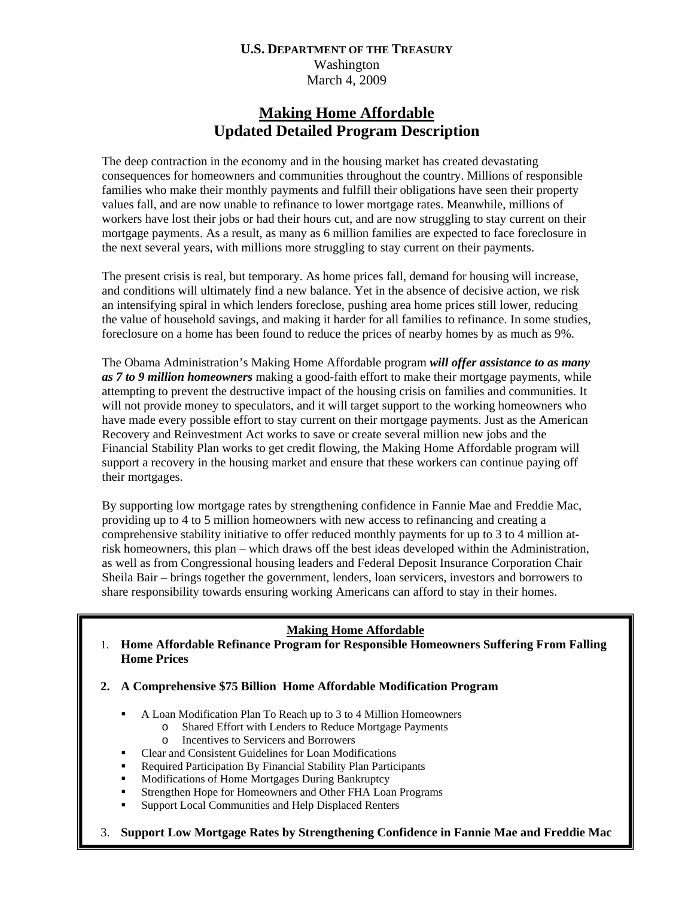# **Making Home Affordable Updated Detailed Program Description**

The deep contraction in the economy and in the housing market has created devastating consequences for homeowners and communities throughout the country. Millions of responsible families who make their monthly payments and fulfill their obligations have seen their property values fall, and are now unable to refinance to lower mortgage rates. Meanwhile, millions of workers have lost their jobs or had their hours cut, and are now struggling to stay current on their mortgage payments. As a result, as many as 6 million families are expected to face foreclosure in the next several years, with millions more struggling to stay current on their payments.

The present crisis is real, but temporary. As home prices fall, demand for housing will increase, and conditions will ultimately find a new balance. Yet in the absence of decisive action, we risk an intensifying spiral in which lenders foreclose, pushing area home prices still lower, reducing the value of household savings, and making it harder for all families to refinance. In some studies, foreclosure on a home has been found to reduce the prices of nearby homes by as much as 9%.

The Obama Administration's Making Home Affordable program *will offer assistance to as many as 7 to 9 million homeowners* making a good-faith effort to make their mortgage payments, while attempting to prevent the destructive impact of the housing crisis on families and communities. It will not provide money to speculators, and it will target support to the working homeowners who have made every possible effort to stay current on their mortgage payments. Just as the American Recovery and Reinvestment Act works to save or create several million new jobs and the Financial Stability Plan works to get credit flowing, the Making Home Affordable program will support a recovery in the housing market and ensure that these workers can continue paying off their mortgages.

By supporting low mortgage rates by strengthening confidence in Fannie Mae and Freddie Mac, providing up to 4 to 5 million homeowners with new access to refinancing and creating a comprehensive stability initiative to offer reduced monthly payments for up to 3 to 4 million atrisk homeowners, this plan – which draws off the best ideas developed within the Administration, as well as from Congressional housing leaders and Federal Deposit Insurance Corporation Chair Sheila Bair – brings together the government, lenders, loan servicers, investors and borrowers to share responsibility towards ensuring working Americans can afford to stay in their homes.

# **Making Home Affordable**

- 1. **Home Affordable Refinance Program for Responsible Homeowners Suffering From Falling Home Prices**
- **2. A Comprehensive \$75 Billion Home Affordable Modification Program** 
	- A Loan Modification Plan To Reach up to 3 to 4 Million Homeowners
		- o Shared Effort with Lenders to Reduce Mortgage Payments
		- o Incentives to Servicers and Borrowers
	- Clear and Consistent Guidelines for Loan Modifications
	- Required Participation By Financial Stability Plan Participants
	- **Modifications of Home Mortgages During Bankruptcy**
	- **Strengthen Hope for Homeowners and Other FHA Loan Programs**
	- **Support Local Communities and Help Displaced Renters**
- 1 3. **Support Low Mortgage Rates by Strengthening Confidence in Fannie Mae and Freddie Mac**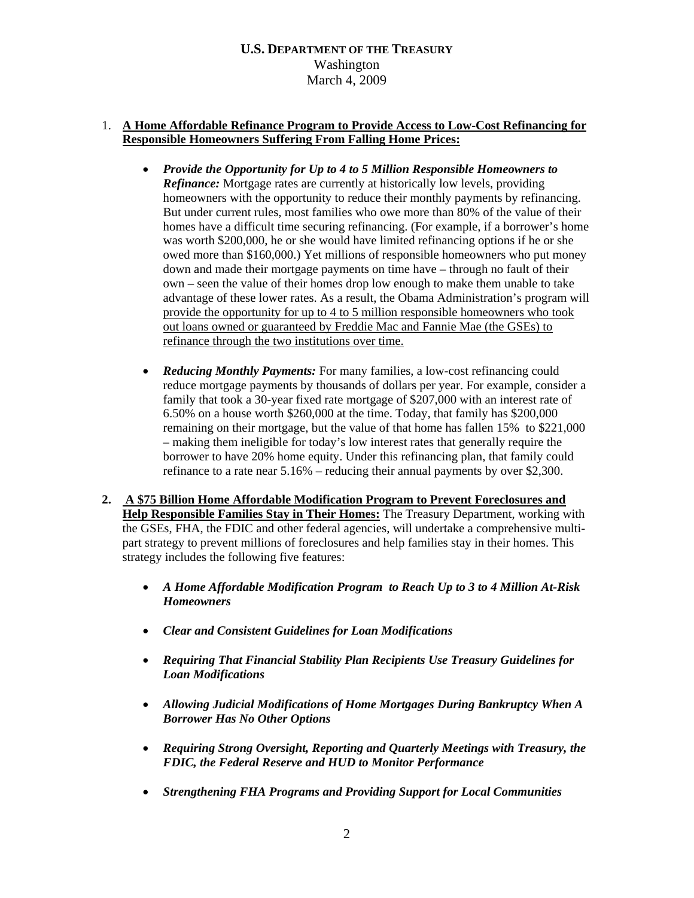## 1. **A Home Affordable Refinance Program to Provide Access to Low-Cost Refinancing for Responsible Homeowners Suffering From Falling Home Prices:**

- *Provide the Opportunity for Up to 4 to 5 Million Responsible Homeowners to Refinance:* Mortgage rates are currently at historically low levels, providing homeowners with the opportunity to reduce their monthly payments by refinancing. But under current rules, most families who owe more than 80% of the value of their homes have a difficult time securing refinancing. (For example, if a borrower's home was worth \$200,000, he or she would have limited refinancing options if he or she owed more than \$160,000.) Yet millions of responsible homeowners who put money down and made their mortgage payments on time have – through no fault of their own – seen the value of their homes drop low enough to make them unable to take advantage of these lower rates. As a result, the Obama Administration's program will provide the opportunity for up to 4 to 5 million responsible homeowners who took out loans owned or guaranteed by Freddie Mac and Fannie Mae (the GSEs) to refinance through the two institutions over time.
- *Reducing Monthly Payments:* For many families, a low-cost refinancing could reduce mortgage payments by thousands of dollars per year. For example, consider a family that took a 30-year fixed rate mortgage of \$207,000 with an interest rate of 6.50% on a house worth \$260,000 at the time. Today, that family has \$200,000 remaining on their mortgage, but the value of that home has fallen 15% to \$221,000 – making them ineligible for today's low interest rates that generally require the borrower to have 20% home equity. Under this refinancing plan, that family could refinance to a rate near 5.16% – reducing their annual payments by over \$2,300.
- **2. A \$75 Billion Home Affordable Modification Program to Prevent Foreclosures and Help Responsible Families Stay in Their Homes:** The Treasury Department, working with the GSEs, FHA, the FDIC and other federal agencies, will undertake a comprehensive multipart strategy to prevent millions of foreclosures and help families stay in their homes. This strategy includes the following five features:
	- *A Home Affordable Modification Program to Reach Up to 3 to 4 Million At-Risk Homeowners*
	- *Clear and Consistent Guidelines for Loan Modifications*
	- *Requiring That Financial Stability Plan Recipients Use Treasury Guidelines for Loan Modifications*
	- *Allowing Judicial Modifications of Home Mortgages During Bankruptcy When A Borrower Has No Other Options*
	- *Requiring Strong Oversight, Reporting and Quarterly Meetings with Treasury, the FDIC, the Federal Reserve and HUD to Monitor Performance*
	- *Strengthening FHA Programs and Providing Support for Local Communities*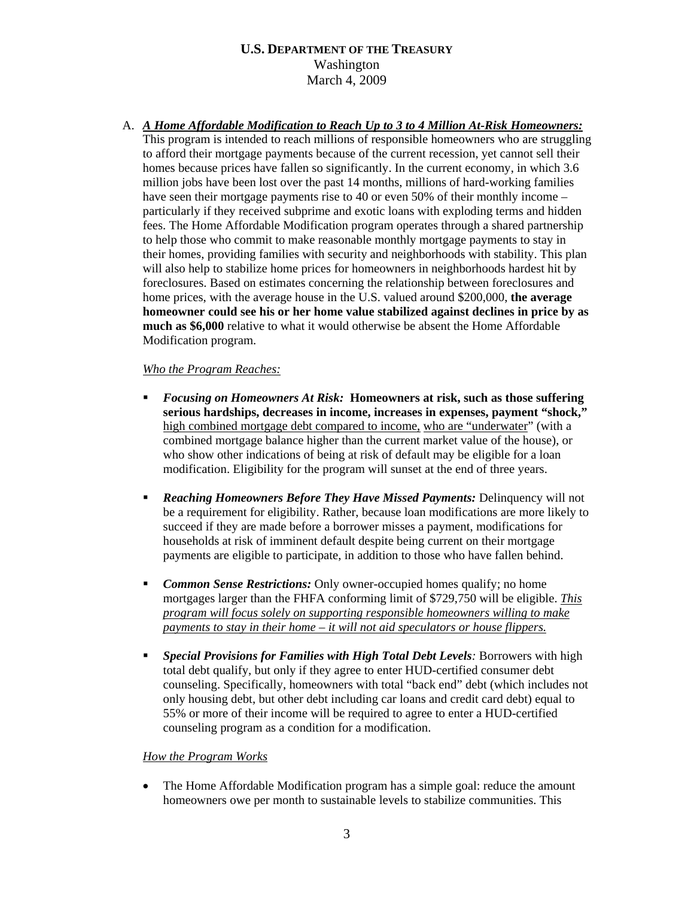A. *A Home Affordable Modification to Reach Up to 3 to 4 Million At-Risk Homeowners:* This program is intended to reach millions of responsible homeowners who are struggling to afford their mortgage payments because of the current recession, yet cannot sell their homes because prices have fallen so significantly. In the current economy, in which 3.6 million jobs have been lost over the past 14 months, millions of hard-working families have seen their mortgage payments rise to 40 or even 50% of their monthly income – particularly if they received subprime and exotic loans with exploding terms and hidden fees. The Home Affordable Modification program operates through a shared partnership to help those who commit to make reasonable monthly mortgage payments to stay in their homes, providing families with security and neighborhoods with stability. This plan will also help to stabilize home prices for homeowners in neighborhoods hardest hit by foreclosures. Based on estimates concerning the relationship between foreclosures and home prices, with the average house in the U.S. valued around \$200,000, **the average homeowner could see his or her home value stabilized against declines in price by as much as \$6,000** relative to what it would otherwise be absent the Home Affordable Modification program.

## *Who the Program Reaches:*

- *Focusing on Homeowners At Risk:* **Homeowners at risk, such as those suffering serious hardships, decreases in income, increases in expenses, payment "shock,"** high combined mortgage debt compared to income, who are "underwater" (with a combined mortgage balance higher than the current market value of the house), or who show other indications of being at risk of default may be eligible for a loan modification. Eligibility for the program will sunset at the end of three years.
- *Reaching Homeowners Before They Have Missed Payments:* Delinquency will not be a requirement for eligibility. Rather, because loan modifications are more likely to succeed if they are made before a borrower misses a payment, modifications for households at risk of imminent default despite being current on their mortgage payments are eligible to participate, in addition to those who have fallen behind.
- **Common Sense Restrictions:** Only owner-occupied homes qualify; no home mortgages larger than the FHFA conforming limit of \$729,750 will be eligible. *This program will focus solely on supporting responsible homeowners willing to make payments to stay in their home – it will not aid speculators or house flippers.*
- *Special Provisions for Families with High Total Debt Levels:* Borrowers with high total debt qualify, but only if they agree to enter HUD-certified consumer debt counseling. Specifically, homeowners with total "back end" debt (which includes not only housing debt, but other debt including car loans and credit card debt) equal to 55% or more of their income will be required to agree to enter a HUD-certified counseling program as a condition for a modification.

### *How the Program Works*

• The Home Affordable Modification program has a simple goal: reduce the amount homeowners owe per month to sustainable levels to stabilize communities. This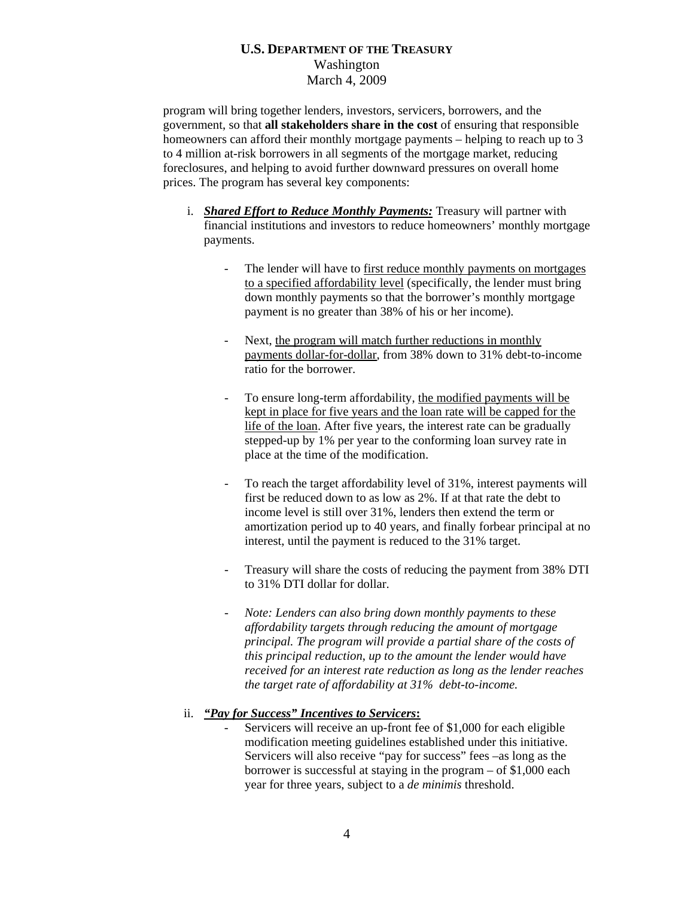program will bring together lenders, investors, servicers, borrowers, and the government, so that **all stakeholders share in the cost** of ensuring that responsible homeowners can afford their monthly mortgage payments – helping to reach up to 3 to 4 million at-risk borrowers in all segments of the mortgage market, reducing foreclosures, and helping to avoid further downward pressures on overall home prices. The program has several key components:

- i. *Shared Effort to Reduce Monthly Payments:* Treasury will partner with financial institutions and investors to reduce homeowners' monthly mortgage payments.
	- The lender will have to first reduce monthly payments on mortgages to a specified affordability level (specifically, the lender must bring down monthly payments so that the borrower's monthly mortgage payment is no greater than 38% of his or her income).
	- Next, the program will match further reductions in monthly payments dollar-for-dollar, from 38% down to 31% debt-to-income ratio for the borrower.
	- To ensure long-term affordability, the modified payments will be kept in place for five years and the loan rate will be capped for the life of the loan. After five years, the interest rate can be gradually stepped-up by 1% per year to the conforming loan survey rate in place at the time of the modification.
	- To reach the target affordability level of 31%, interest payments will first be reduced down to as low as 2%. If at that rate the debt to income level is still over 31%, lenders then extend the term or amortization period up to 40 years, and finally forbear principal at no interest, until the payment is reduced to the 31% target.
	- Treasury will share the costs of reducing the payment from 38% DTI to 31% DTI dollar for dollar.
	- *Note: Lenders can also bring down monthly payments to these affordability targets through reducing the amount of mortgage principal. The program will provide a partial share of the costs of this principal reduction*, *up to the amount the lender would have received for an interest rate reduction as long as the lender reaches the target rate of affordability at 31% debt-to-income.*

### ii. *"Pay for Success" Incentives to Servicers***:**

Servicers will receive an up-front fee of \$1,000 for each eligible modification meeting guidelines established under this initiative. Servicers will also receive "pay for success" fees –as long as the borrower is successful at staying in the program – of \$1,000 each year for three years, subject to a *de minimis* threshold.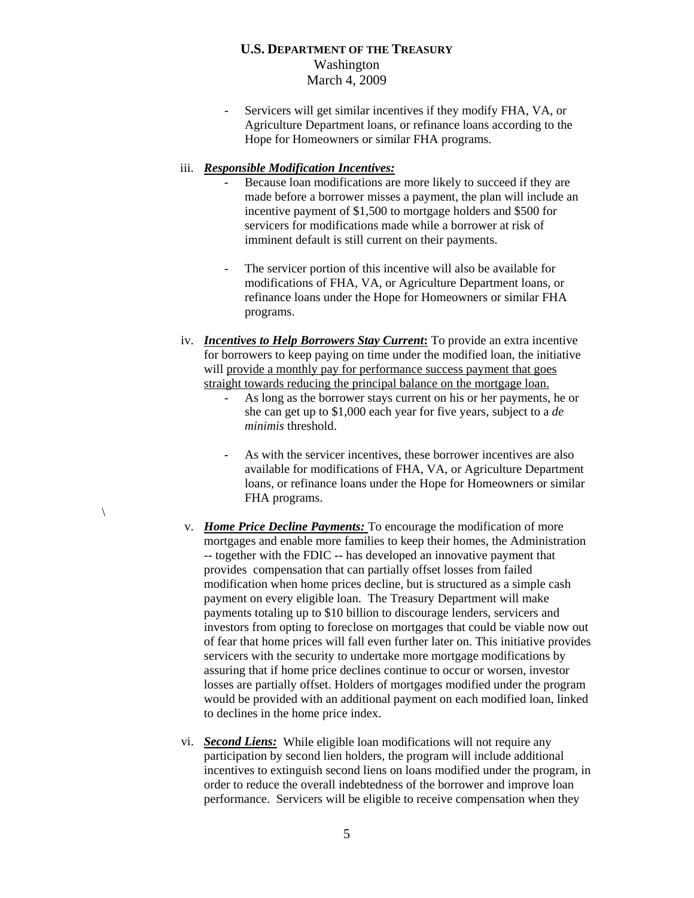- Servicers will get similar incentives if they modify FHA, VA, or Agriculture Department loans, or refinance loans according to the Hope for Homeowners or similar FHA programs.

#### iii. *Responsible Modification Incentives:*

 $\setminus$ 

- Because loan modifications are more likely to succeed if they are made before a borrower misses a payment, the plan will include an incentive payment of \$1,500 to mortgage holders and \$500 for servicers for modifications made while a borrower at risk of imminent default is still current on their payments.
- The servicer portion of this incentive will also be available for modifications of FHA, VA, or Agriculture Department loans, or refinance loans under the Hope for Homeowners or similar FHA programs.
- iv. *Incentives to Help Borrowers Stay Current***:** To provide an extra incentive for borrowers to keep paying on time under the modified loan, the initiative will provide a monthly pay for performance success payment that goes straight towards reducing the principal balance on the mortgage loan.
	- As long as the borrower stays current on his or her payments, he or she can get up to \$1,000 each year for five years, subject to a *de minimis* threshold.
	- As with the servicer incentives, these borrower incentives are also available for modifications of FHA, VA, or Agriculture Department loans, or refinance loans under the Hope for Homeowners or similar FHA programs.
- v. *Home Price Decline Payments:* To encourage the modification of more mortgages and enable more families to keep their homes, the Administration -- together with the FDIC -- has developed an innovative payment that provides compensation that can partially offset losses from failed modification when home prices decline, but is structured as a simple cash payment on every eligible loan. The Treasury Department will make payments totaling up to \$10 billion to discourage lenders, servicers and investors from opting to foreclose on mortgages that could be viable now out of fear that home prices will fall even further later on. This initiative provides servicers with the security to undertake more mortgage modifications by assuring that if home price declines continue to occur or worsen, investor losses are partially offset. Holders of mortgages modified under the program would be provided with an additional payment on each modified loan, linked to declines in the home price index.
- vi. *Second Liens:* While eligible loan modifications will not require any participation by second lien holders, the program will include additional incentives to extinguish second liens on loans modified under the program, in order to reduce the overall indebtedness of the borrower and improve loan performance. Servicers will be eligible to receive compensation when they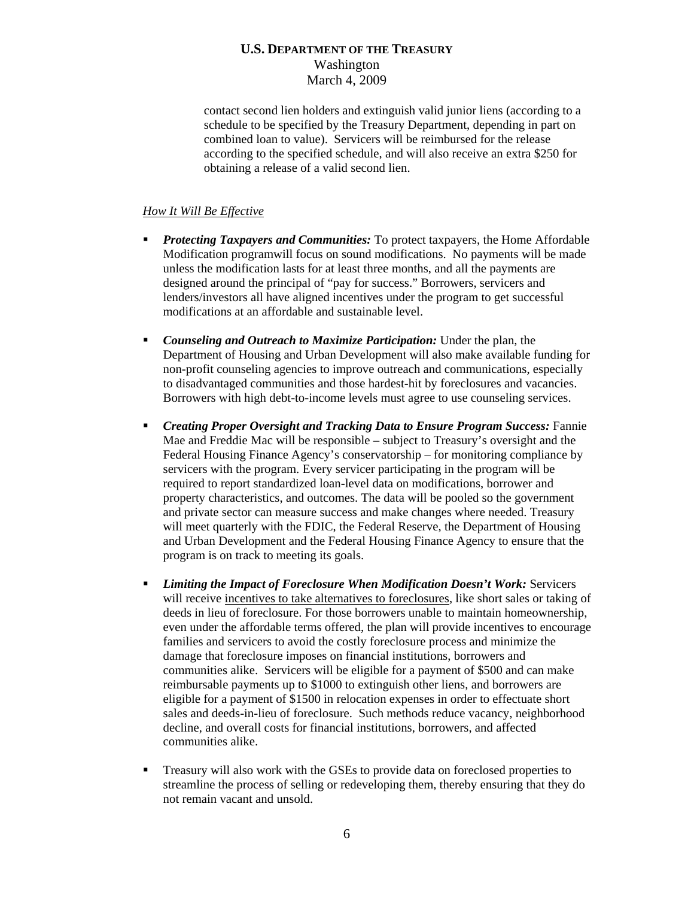contact second lien holders and extinguish valid junior liens (according to a schedule to be specified by the Treasury Department, depending in part on combined loan to value). Servicers will be reimbursed for the release according to the specified schedule, and will also receive an extra \$250 for obtaining a release of a valid second lien.

### *How It Will Be Effective*

- **Protecting Taxpayers and Communities:** To protect taxpayers, the Home Affordable Modification programwill focus on sound modifications. No payments will be made unless the modification lasts for at least three months, and all the payments are designed around the principal of "pay for success." Borrowers, servicers and lenders/investors all have aligned incentives under the program to get successful modifications at an affordable and sustainable level.
- *Counseling and Outreach to Maximize Participation:* Under the plan, the Department of Housing and Urban Development will also make available funding for non-profit counseling agencies to improve outreach and communications, especially to disadvantaged communities and those hardest-hit by foreclosures and vacancies. Borrowers with high debt-to-income levels must agree to use counseling services.
- *Creating Proper Oversight and Tracking Data to Ensure Program Success:* Fannie Mae and Freddie Mac will be responsible – subject to Treasury's oversight and the Federal Housing Finance Agency's conservatorship – for monitoring compliance by servicers with the program. Every servicer participating in the program will be required to report standardized loan-level data on modifications, borrower and property characteristics, and outcomes. The data will be pooled so the government and private sector can measure success and make changes where needed. Treasury will meet quarterly with the FDIC, the Federal Reserve, the Department of Housing and Urban Development and the Federal Housing Finance Agency to ensure that the program is on track to meeting its goals.
- *Limiting the Impact of Foreclosure When Modification Doesn't Work:* Servicers will receive incentives to take alternatives to foreclosures, like short sales or taking of deeds in lieu of foreclosure. For those borrowers unable to maintain homeownership, even under the affordable terms offered, the plan will provide incentives to encourage families and servicers to avoid the costly foreclosure process and minimize the damage that foreclosure imposes on financial institutions, borrowers and communities alike. Servicers will be eligible for a payment of \$500 and can make reimbursable payments up to \$1000 to extinguish other liens, and borrowers are eligible for a payment of \$1500 in relocation expenses in order to effectuate short sales and deeds-in-lieu of foreclosure. Such methods reduce vacancy, neighborhood decline, and overall costs for financial institutions, borrowers, and affected communities alike.
- Treasury will also work with the GSEs to provide data on foreclosed properties to streamline the process of selling or redeveloping them, thereby ensuring that they do not remain vacant and unsold.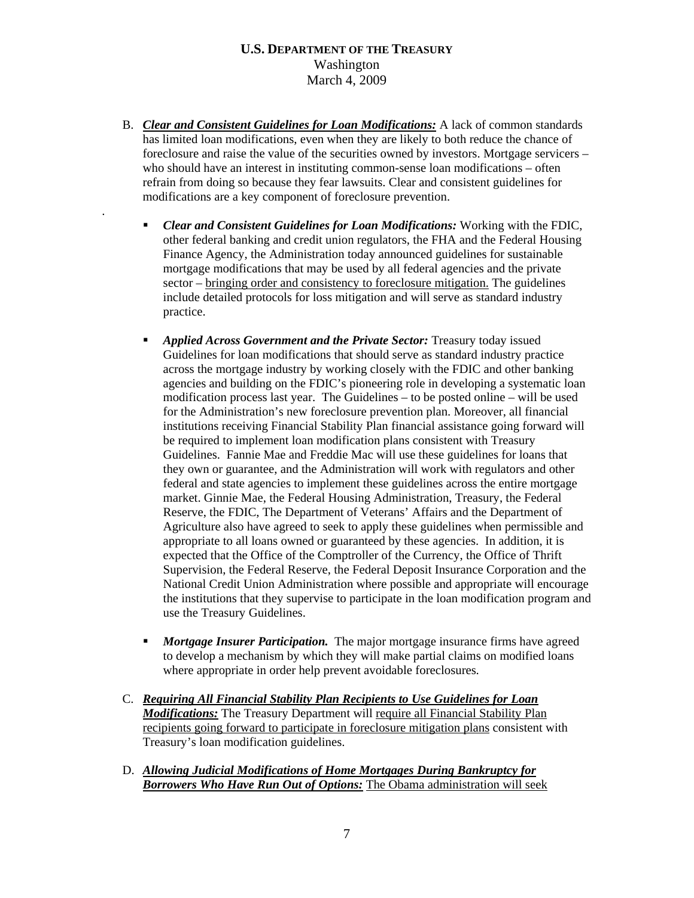B. *Clear and Consistent Guidelines for Loan Modifications:* A lack of common standards has limited loan modifications, even when they are likely to both reduce the chance of foreclosure and raise the value of the securities owned by investors. Mortgage servicers – who should have an interest in instituting common-sense loan modifications – often refrain from doing so because they fear lawsuits. Clear and consistent guidelines for modifications are a key component of foreclosure prevention.

.

- *Clear and Consistent Guidelines for Loan Modifications:* Working with the FDIC, other federal banking and credit union regulators, the FHA and the Federal Housing Finance Agency, the Administration today announced guidelines for sustainable mortgage modifications that may be used by all federal agencies and the private sector – bringing order and consistency to foreclosure mitigation. The guidelines include detailed protocols for loss mitigation and will serve as standard industry practice.
- *Applied Across Government and the Private Sector:* Treasury today issued Guidelines for loan modifications that should serve as standard industry practice across the mortgage industry by working closely with the FDIC and other banking agencies and building on the FDIC's pioneering role in developing a systematic loan modification process last year. The Guidelines – to be posted online – will be used for the Administration's new foreclosure prevention plan. Moreover, all financial institutions receiving Financial Stability Plan financial assistance going forward will be required to implement loan modification plans consistent with Treasury Guidelines. Fannie Mae and Freddie Mac will use these guidelines for loans that they own or guarantee, and the Administration will work with regulators and other federal and state agencies to implement these guidelines across the entire mortgage market. Ginnie Mae, the Federal Housing Administration, Treasury, the Federal Reserve, the FDIC, The Department of Veterans' Affairs and the Department of Agriculture also have agreed to seek to apply these guidelines when permissible and appropriate to all loans owned or guaranteed by these agencies. In addition, it is expected that the Office of the Comptroller of the Currency, the Office of Thrift Supervision, the Federal Reserve, the Federal Deposit Insurance Corporation and the National Credit Union Administration where possible and appropriate will encourage the institutions that they supervise to participate in the loan modification program and use the Treasury Guidelines.
- *Mortgage Insurer Participation.* The major mortgage insurance firms have agreed to develop a mechanism by which they will make partial claims on modified loans where appropriate in order help prevent avoidable foreclosures*.*
- C. *Requiring All Financial Stability Plan Recipients to Use Guidelines for Loan Modifications:* The Treasury Department will require all Financial Stability Plan recipients going forward to participate in foreclosure mitigation plans consistent with Treasury's loan modification guidelines.
- D. *Allowing Judicial Modifications of Home Mortgages During Bankruptcy for Borrowers Who Have Run Out of Options:* The Obama administration will seek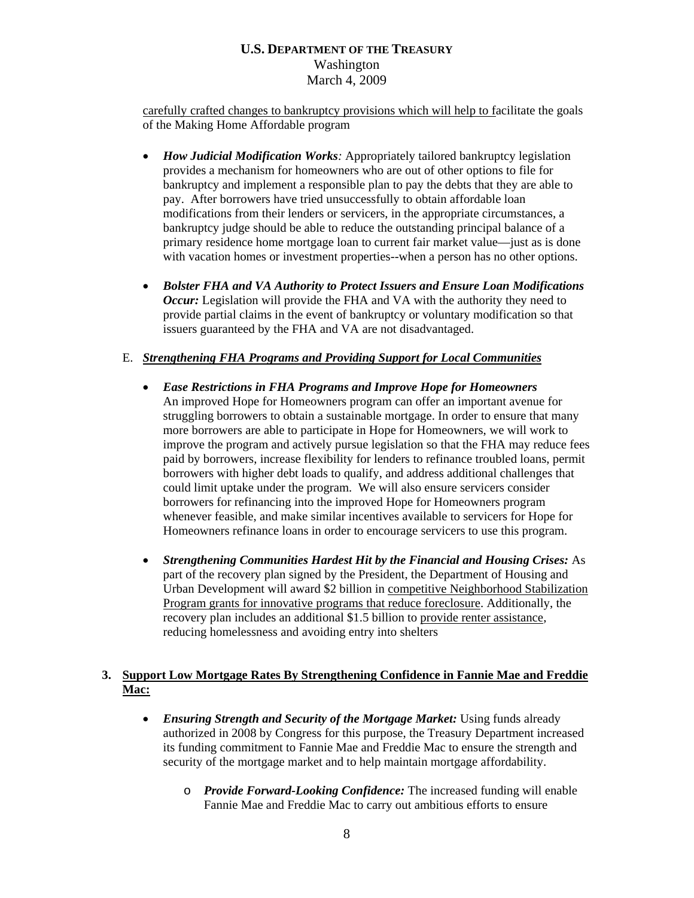carefully crafted changes to bankruptcy provisions which will help to facilitate the goals of the Making Home Affordable program

- *How Judicial Modification Works:* Appropriately tailored bankruptcy legislation provides a mechanism for homeowners who are out of other options to file for bankruptcy and implement a responsible plan to pay the debts that they are able to pay. After borrowers have tried unsuccessfully to obtain affordable loan modifications from their lenders or servicers, in the appropriate circumstances, a bankruptcy judge should be able to reduce the outstanding principal balance of a primary residence home mortgage loan to current fair market value—just as is done with vacation homes or investment properties--when a person has no other options.
- *Bolster FHA and VA Authority to Protect Issuers and Ensure Loan Modifications Occur:* Legislation will provide the FHA and VA with the authority they need to provide partial claims in the event of bankruptcy or voluntary modification so that issuers guaranteed by the FHA and VA are not disadvantaged.

### E. *Strengthening FHA Programs and Providing Support for Local Communities*

- *Ease Restrictions in FHA Programs and Improve Hope for Homeowners*  An improved Hope for Homeowners program can offer an important avenue for struggling borrowers to obtain a sustainable mortgage. In order to ensure that many more borrowers are able to participate in Hope for Homeowners, we will work to improve the program and actively pursue legislation so that the FHA may reduce fees paid by borrowers, increase flexibility for lenders to refinance troubled loans, permit borrowers with higher debt loads to qualify, and address additional challenges that could limit uptake under the program. We will also ensure servicers consider borrowers for refinancing into the improved Hope for Homeowners program whenever feasible, and make similar incentives available to servicers for Hope for Homeowners refinance loans in order to encourage servicers to use this program.
- *Strengthening Communities Hardest Hit by the Financial and Housing Crises:* As part of the recovery plan signed by the President, the Department of Housing and Urban Development will award \$2 billion in competitive Neighborhood Stabilization Program grants for innovative programs that reduce foreclosure. Additionally, the recovery plan includes an additional \$1.5 billion to provide renter assistance, reducing homelessness and avoiding entry into shelters

# **3. Support Low Mortgage Rates By Strengthening Confidence in Fannie Mae and Freddie Mac:**

- *Ensuring Strength and Security of the Mortgage Market:* Using funds already authorized in 2008 by Congress for this purpose, the Treasury Department increased its funding commitment to Fannie Mae and Freddie Mac to ensure the strength and security of the mortgage market and to help maintain mortgage affordability.
	- o *Provide Forward-Looking Confidence:* The increased funding will enable Fannie Mae and Freddie Mac to carry out ambitious efforts to ensure